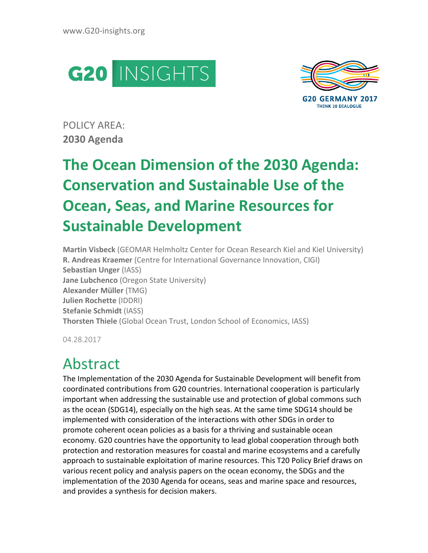



POLICY AREA: **2030 Agenda** 

# **The Ocean Dimension of the 2030 Agenda: Conservation and Sustainable Use of the Ocean, Seas, and Marine Resources for Sustainable Development**

**Martin Visbeck** (GEOMAR Helmholtz Center for Ocean Research Kiel and Kiel University) **R. Andreas Kraemer** (Centre for International Governance Innovation, CIGI) **Sebastian Unger** (IASS) **Jane Lubchenco** (Oregon State University) **Alexander Müller** (TMG) **Julien Rochette** (IDDRI) **Stefanie Schmidt** (IASS) **Thorsten Thiele** (Global Ocean Trust, London School of Economics, IASS)

04.28.2017

## Abstract

The Implementation of the 2030 Agenda for Sustainable Development will benefit from coordinated contributions from G20 countries. International cooperation is particularly important when addressing the sustainable use and protection of global commons such as the ocean (SDG14), especially on the high seas. At the same time SDG14 should be implemented with consideration of the interactions with other SDGs in order to promote coherent ocean policies as a basis for a thriving and sustainable ocean economy. G20 countries have the opportunity to lead global cooperation through both protection and restoration measures for coastal and marine ecosystems and a carefully approach to sustainable exploitation of marine resources. This T20 Policy Brief draws on various recent policy and analysis papers on the ocean economy, the SDGs and the implementation of the 2030 Agenda for oceans, seas and marine space and resources, and provides a synthesis for decision makers.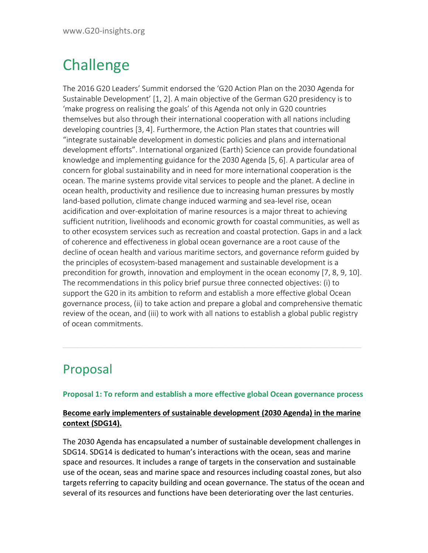## **Challenge**

The 2016 G20 Leaders' Summit endorsed the 'G20 Action Plan on the 2030 Agenda for Sustainable Development' [1, 2]. A main objective of the German G20 presidency is to 'make progress on realising the goals' of this Agenda not only in G20 countries themselves but also through their international cooperation with all nations including developing countries [3, 4]. Furthermore, the Action Plan states that countries will "integrate sustainable development in domestic policies and plans and international development efforts". International organized (Earth) Science can provide foundational knowledge and implementing guidance for the 2030 Agenda [5, 6]. A particular area of concern for global sustainability and in need for more international cooperation is the ocean. The marine systems provide vital services to people and the planet. A decline in ocean health, productivity and resilience due to increasing human pressures by mostly land-based pollution, climate change induced warming and sea-level rise, ocean acidification and over-exploitation of marine resources is a major threat to achieving sufficient nutrition, livelihoods and economic growth for coastal communities, as well as to other ecosystem services such as recreation and coastal protection. Gaps in and a lack of coherence and effectiveness in global ocean governance are a root cause of the decline of ocean health and various maritime sectors, and governance reform guided by the principles of ecosystem-based management and sustainable development is a precondition for growth, innovation and employment in the ocean economy [7, 8, 9, 10]. The recommendations in this policy brief pursue three connected objectives: (i) to support the G20 in its ambition to reform and establish a more effective global Ocean governance process, (ii) to take action and prepare a global and comprehensive thematic review of the ocean, and (iii) to work with all nations to establish a global public registry of ocean commitments.

### Proposal

#### **Proposal 1: To reform and establish a more effective global Ocean governance process**

**\_\_\_\_\_\_\_\_\_\_\_\_\_\_\_\_\_\_\_\_\_\_\_\_\_\_\_\_\_\_\_\_\_\_\_\_\_\_\_\_\_\_\_\_\_\_\_\_\_\_\_\_\_\_\_\_\_\_\_\_\_\_\_\_** 

#### **Become early implementers of sustainable development (2030 Agenda) in the marine context (SDG14).**

The 2030 Agenda has encapsulated a number of sustainable development challenges in SDG14. SDG14 is dedicated to human's interactions with the ocean, seas and marine space and resources. It includes a range of targets in the conservation and sustainable use of the ocean, seas and marine space and resources including coastal zones, but also targets referring to capacity building and ocean governance. The status of the ocean and several of its resources and functions have been deteriorating over the last centuries.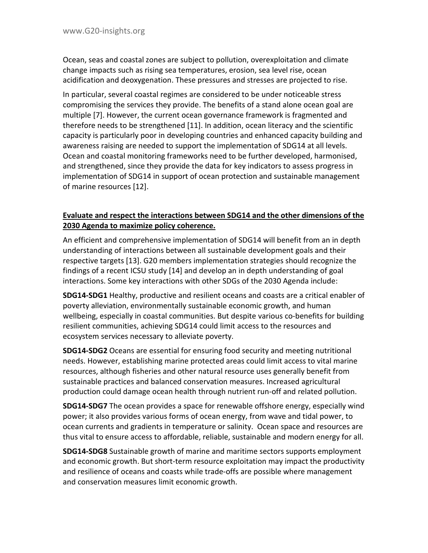Ocean, seas and coastal zones are subject to pollution, overexploitation and climate change impacts such as rising sea temperatures, erosion, sea level rise, ocean acidification and deoxygenation. These pressures and stresses are projected to rise.

In particular, several coastal regimes are considered to be under noticeable stress compromising the services they provide. The benefits of a stand alone ocean goal are multiple [7]. However, the current ocean governance framework is fragmented and therefore needs to be strengthened [11]. In addition, ocean literacy and the scientific capacity is particularly poor in developing countries and enhanced capacity building and awareness raising are needed to support the implementation of SDG14 at all levels. Ocean and coastal monitoring frameworks need to be further developed, harmonised, and strengthened, since they provide the data for key indicators to assess progress in implementation of SDG14 in support of ocean protection and sustainable management of marine resources [12].

#### **Evaluate and respect the interactions between SDG14 and the other dimensions of the 2030 Agenda to maximize policy coherence.**

An efficient and comprehensive implementation of SDG14 will benefit from an in depth understanding of interactions between all sustainable development goals and their respective targets [13]. G20 members implementation strategies should recognize the findings of a recent ICSU study [14] and develop an in depth understanding of goal interactions. Some key interactions with other SDGs of the 2030 Agenda include:

**SDG14-SDG1** Healthy, productive and resilient oceans and coasts are a critical enabler of poverty alleviation, environmentally sustainable economic growth, and human wellbeing, especially in coastal communities. But despite various co-benefits for building resilient communities, achieving SDG14 could limit access to the resources and ecosystem services necessary to alleviate poverty.

**SDG14-SDG2** Oceans are essential for ensuring food security and meeting nutritional needs. However, establishing marine protected areas could limit access to vital marine resources, although fisheries and other natural resource uses generally benefit from sustainable practices and balanced conservation measures. Increased agricultural production could damage ocean health through nutrient run-off and related pollution.

**SDG14-SDG7** The ocean provides a space for renewable offshore energy, especially wind power; it also provides various forms of ocean energy, from wave and tidal power, to ocean currents and gradients in temperature or salinity. Ocean space and resources are thus vital to ensure access to affordable, reliable, sustainable and modern energy for all.

**SDG14-SDG8** Sustainable growth of marine and maritime sectors supports employment and economic growth. But short-term resource exploitation may impact the productivity and resilience of oceans and coasts while trade-offs are possible where management and conservation measures limit economic growth.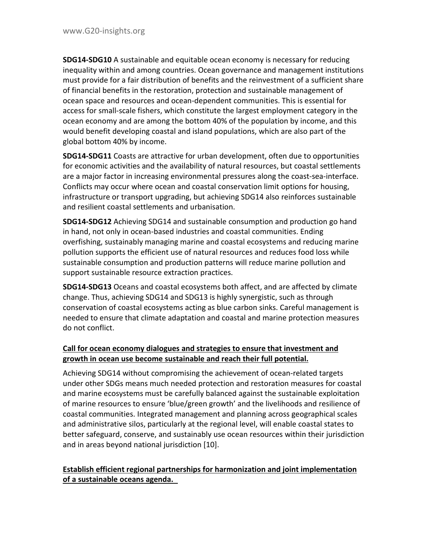**SDG14-SDG10** A sustainable and equitable ocean economy is necessary for reducing inequality within and among countries. Ocean governance and management institutions must provide for a fair distribution of benefits and the reinvestment of a sufficient share of financial benefits in the restoration, protection and sustainable management of ocean space and resources and ocean-dependent communities. This is essential for access for small-scale fishers, which constitute the largest employment category in the ocean economy and are among the bottom 40% of the population by income, and this would benefit developing coastal and island populations, which are also part of the global bottom 40% by income.

**SDG14-SDG11** Coasts are attractive for urban development, often due to opportunities for economic activities and the availability of natural resources, but coastal settlements are a major factor in increasing environmental pressures along the coast-sea-interface. Conflicts may occur where ocean and coastal conservation limit options for housing, infrastructure or transport upgrading, but achieving SDG14 also reinforces sustainable and resilient coastal settlements and urbanisation.

**SDG14-SDG12** Achieving SDG14 and sustainable consumption and production go hand in hand, not only in ocean-based industries and coastal communities. Ending overfishing, sustainably managing marine and coastal ecosystems and reducing marine pollution supports the efficient use of natural resources and reduces food loss while sustainable consumption and production patterns will reduce marine pollution and support sustainable resource extraction practices.

**SDG14-SDG13** Oceans and coastal ecosystems both affect, and are affected by climate change. Thus, achieving SDG14 and SDG13 is highly synergistic, such as through conservation of coastal ecosystems acting as blue carbon sinks. Careful management is needed to ensure that climate adaptation and coastal and marine protection measures do not conflict.

#### **Call for ocean economy dialogues and strategies to ensure that investment and growth in ocean use become sustainable and reach their full potential.**

Achieving SDG14 without compromising the achievement of ocean-related targets under other SDGs means much needed protection and restoration measures for coastal and marine ecosystems must be carefully balanced against the sustainable exploitation of marine resources to ensure 'blue/green growth' and the livelihoods and resilience of coastal communities. Integrated management and planning across geographical scales and administrative silos, particularly at the regional level, will enable coastal states to better safeguard, conserve, and sustainably use ocean resources within their jurisdiction and in areas beyond national jurisdiction [10].

#### **Establish efficient regional partnerships for harmonization and joint implementation of a sustainable oceans agenda.**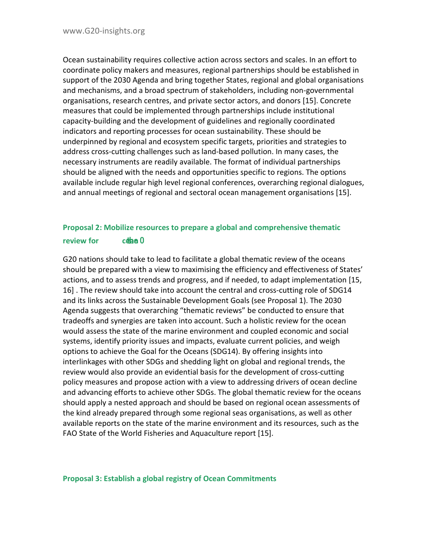Ocean sustainability requires collective action across sectors and scales. In an effort to coordinate policy makers and measures, regional partnerships should be established in support of the 2030 Agenda and bring together States, regional and global organisations and mechanisms, and a broad spectrum of stakeholders, including non-governmental organisations, research centres, and private sector actors, and donors [15]. Concrete measures that could be implemented through partnerships include institutional capacity-building and the development of guidelines and regionally coordinated indicators and reporting processes for ocean sustainability. These should be underpinned by regional and ecosystem specific targets, priorities and strategies to address cross-cutting challenges such as land-based pollution. In many cases, the necessary instruments are readily available. The format of individual partnerships should be aligned with the needs and opportunities specific to regions. The options available include regular high level regional conferences, overarching regional dialogues, and annual meetings of regional and sectoral ocean management organisations [15].

#### **Proposal 2: Mobilize resources to prepare a global and comprehensive thematic review for cean** O

G20 nations should take to lead to facilitate a global thematic review of the oceans should be prepared with a view to maximising the efficiency and effectiveness of States' actions, and to assess trends and progress, and if needed, to adapt implementation [15, 16] . The review should take into account the central and cross-cutting role of SDG14 and its links across the Sustainable Development Goals (see Proposal 1). The 2030 Agenda suggests that overarching "thematic reviews" be conducted to ensure that tradeoffs and synergies are taken into account. Such a holistic review for the ocean would assess the state of the marine environment and coupled economic and social systems, identify priority issues and impacts, evaluate current policies, and weigh options to achieve the Goal for the Oceans (SDG14). By offering insights into interlinkages with other SDGs and shedding light on global and regional trends, the review would also provide an evidential basis for the development of cross-cutting policy measures and propose action with a view to addressing drivers of ocean decline and advancing efforts to achieve other SDGs. The global thematic review for the oceans should apply a nested approach and should be based on regional ocean assessments of the kind already prepared through some regional seas organisations, as well as other available reports on the state of the marine environment and its resources, such as the FAO State of the World Fisheries and Aquaculture report [15].

#### **Proposal 3: Establish a global registry of Ocean Commitments**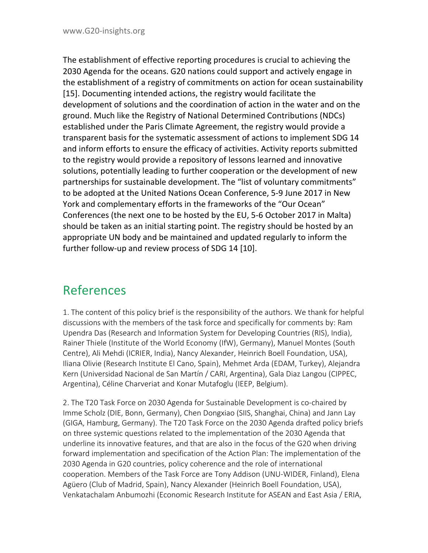The establishment of effective reporting procedures is crucial to achieving the 2030 Agenda for the oceans. G20 nations could support and actively engage in the establishment of a registry of commitments on action for ocean sustainability [15]. Documenting intended actions, the registry would facilitate the development of solutions and the coordination of action in the water and on the ground. Much like the Registry of National Determined Contributions (NDCs) established under the Paris Climate Agreement, the registry would provide a transparent basis for the systematic assessment of actions to implement SDG 14 and inform efforts to ensure the efficacy of activities. Activity reports submitted to the registry would provide a repository of lessons learned and innovative solutions, potentially leading to further cooperation or the development of new partnerships for sustainable development. The "list of voluntary commitments" to be adopted at the United Nations Ocean Conference, 5-9 June 2017 in New York and complementary efforts in the frameworks of the "Our Ocean" Conferences (the next one to be hosted by the EU, 5-6 October 2017 in Malta) should be taken as an initial starting point. The registry should be hosted by an appropriate UN body and be maintained and updated regularly to inform the further follow-up and review process of SDG 14 [10].

### References

1. The content of this policy brief is the responsibility of the authors. We thank for helpful discussions with the members of the task force and specifically for comments by: Ram Upendra Das (Research and Information System for Developing Countries (RIS), India), Rainer Thiele (Institute of the World Economy (IfW), Germany), Manuel Montes (South Centre), Ali Mehdi (ICRIER, India), Nancy Alexander, Heinrich Boell Foundation, USA), Iliana Olivie (Research Institute El Cano, Spain), Mehmet Arda (EDAM, Turkey), Alejandra Kern (Universidad Nacional de San Martín / CARI, Argentina), Gala Diaz Langou (CIPPEC, Argentina), Céline Charveriat and Konar Mutafoglu (IEEP, Belgium).

2. The T20 Task Force on 2030 Agenda for Sustainable Development is co-chaired by Imme Scholz (DIE, Bonn, Germany), Chen Dongxiao (SIIS, Shanghai, China) and Jann Lay (GIGA, Hamburg, Germany). The T20 Task Force on the 2030 Agenda drafted policy briefs on three systemic questions related to the implementation of the 2030 Agenda that underline its innovative features, and that are also in the focus of the G20 when driving forward implementation and specification of the Action Plan: The implementation of the 2030 Agenda in G20 countries, policy coherence and the role of international cooperation. Members of the Task Force are Tony Addison (UNU-WIDER, Finland), Elena Agüero (Club of Madrid, Spain), Nancy Alexander (Heinrich Boell Foundation, USA), Venkatachalam Anbumozhi (Economic Research Institute for ASEAN and East Asia / ERIA,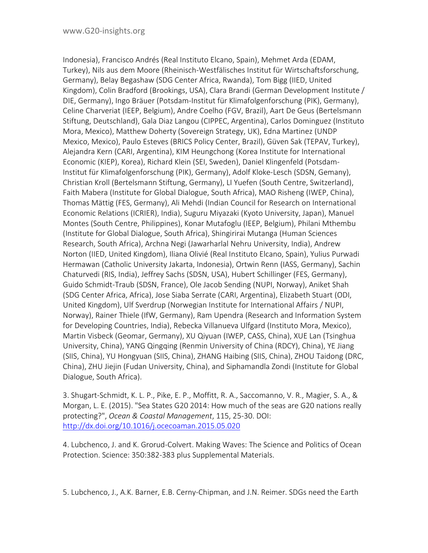Indonesia), Francisco Andrés (Real Instituto Elcano, Spain), Mehmet Arda (EDAM, Turkey), Nils aus dem Moore (Rheinisch-Westfälisches Institut für Wirtschaftsforschung, Germany), Belay Begashaw (SDG Center Africa, Rwanda), Tom Bigg (IIED, United Kingdom), Colin Bradford (Brookings, USA), Clara Brandi (German Development Institute / DIE, Germany), Ingo Bräuer (Potsdam-Institut für Klimafolgenforschung (PIK), Germany), Celine Charveriat (IEEP, Belgium), Andre Coelho (FGV, Brazil), Aart De Geus (Bertelsmann Stiftung, Deutschland), Gala Diaz Langou (CIPPEC, Argentina), Carlos Dominguez (Instituto Mora, Mexico), Matthew Doherty (Sovereign Strategy, UK), Edna Martinez (UNDP Mexico, Mexico), Paulo Esteves (BRICS Policy Center, Brazil), Güven Sak (TEPAV, Turkey), Alejandra Kern (CARI, Argentina), KIM Heungchong (Korea Institute for International Economic (KIEP), Korea), Richard Klein (SEI, Sweden), Daniel Klingenfeld (Potsdam-Institut für Klimafolgenforschung (PIK), Germany), Adolf Kloke-Lesch (SDSN, Gemany), Christian Kroll (Bertelsmann Stiftung, Germany), LI Yuefen (South Centre, Switzerland), Faith Mabera (Institute for Global Dialogue, South Africa), MAO Risheng (IWEP, China), Thomas Mättig (FES, Germany), Ali Mehdi (Indian Council for Research on International Economic Relations (ICRIER), India), Suguru Miyazaki (Kyoto University, Japan), Manuel Montes (South Centre, Philippines), Konar Mutafoglu (IEEP, Belgium), Philani Mthembu (Institute for Global Dialogue, South Africa), Shingirirai Mutanga (Human Sciences Research, South Africa), Archna Negi (Jawarharlal Nehru University, India), Andrew Norton (IIED, United Kingdom), Iliana Olivié (Real Instituto Elcano, Spain), Yulius Purwadi Hermawan (Catholic University Jakarta, Indonesia), Ortwin Renn (IASS, Germany), Sachin Chaturvedi (RIS, India), Jeffrey Sachs (SDSN, USA), Hubert Schillinger (FES, Germany), Guido Schmidt-Traub (SDSN, France), Ole Jacob Sending (NUPI, Norway), Aniket Shah (SDG Center Africa, Africa), Jose Siaba Serrate (CARI, Argentina), Elizabeth Stuart (ODI, United Kingdom), Ulf Sverdrup (Norwegian Institute for International Affairs / NUPI, Norway), Rainer Thiele (IfW, Germany), Ram Upendra (Research and Information System for Developing Countries, India), Rebecka Villanueva Ulfgard (Instituto Mora, Mexico), Martin Visbeck (Geomar, Germany), XU Qiyuan (IWEP, CASS, China), XUE Lan (Tsinghua University, China), YANG Qingqing (Renmin University of China (RDCY), China), YE Jiang (SIIS, China), YU Hongyuan (SIIS, China), ZHANG Haibing (SIIS, China), ZHOU Taidong (DRC, China), ZHU Jiejin (Fudan University, China), and Siphamandla Zondi (Institute for Global Dialogue, South Africa).

3. Shugart-Schmidt, K. L. P., Pike, E. P., Moffitt, R. A., Saccomanno, V. R., Magier, S. A., & Morgan, L. E. (2015). "Sea States G20 2014: How much of the seas are G20 nations really protecting?", *Ocean & Coastal Management*, 115, 25-30. DOI: <http://dx.doi.org/10.1016/j.ocecoaman.2015.05.020>

4. Lubchenco, J. and K. Grorud-Colvert. Making Waves: The Science and Politics of Ocean Protection. Science: 350:382-383 plus Supplemental Materials.

5. Lubchenco, J., A.K. Barner, E.B. Cerny-Chipman, and J.N. Reimer. SDGs need the Earth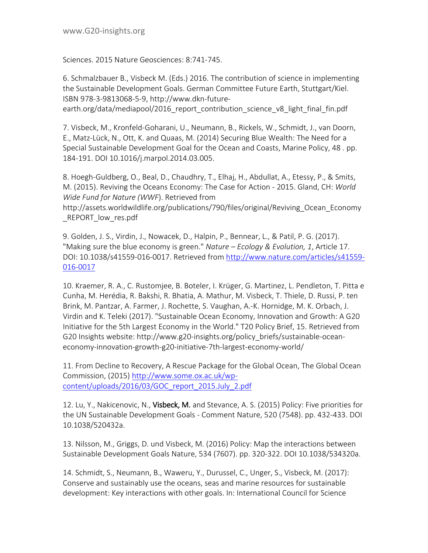Sciences. 2015 Nature Geosciences: 8:741-745.

6. Schmalzbauer B., Visbeck M. (Eds.) 2016. The contribution of science in implementing the Sustainable Development Goals. German Committee Future Earth, Stuttgart/Kiel. ISBN 978-3-9813068-5-9, http://www.dkn-futureearth.org/data/mediapool/2016 report contribution science v8 light final fin.pdf

7. Visbeck, M., Kronfeld-Goharani, U., Neumann, B., Rickels, W., Schmidt, J., van Doorn, E., Matz-Lück, N., Ott, K. and Quaas, M. (2014) Securing Blue Wealth: The Need for a Special Sustainable Development Goal for the Ocean and Coasts, Marine Policy, 48 . pp. 184-191. DOI 10.1016/j.marpol.2014.03.005.

8. Hoegh-Guldberg, O., Beal, D., Chaudhry, T., Elhaj, H., Abdullat, A., Etessy, P., & Smits, M. (2015). Reviving the Oceans Economy: The Case for Action - 2015. Gland, CH: *World Wide Fund for Nature (WWF*). Retrieved from

http://assets.worldwildlife.org/publications/790/files/original/Reviving\_Ocean\_Economy REPORT low res.pdf

9. Golden, J. S., Virdin, J., Nowacek, D., Halpin, P., Bennear, L., & Patil, P. G. (2017). "Making sure the blue economy is green." *Nature – Ecology & Evolution, 1*, Article 17. DOI: 10.1038/s41559-016-0017. Retrieved from [http://www.nature.com/articles/s41559-](http://www.nature.com/articles/s41559-016-0017) [016-0017](http://www.nature.com/articles/s41559-016-0017)

10. Kraemer, R. A., C. Rustomjee, B. Boteler, I. Krüger, G. Martinez, L. Pendleton, T. Pitta e Cunha, M. Herédia, R. Bakshi, R. Bhatia, A. Mathur, M. Visbeck, T. Thiele, D. Russi, P. ten Brink, M. Pantzar, A. Farmer, J. Rochette, S. Vaughan, A.-K. Hornidge, M. K. Orbach, J. Virdin and K. Teleki (2017). "Sustainable Ocean Economy, Innovation and Growth: A G20 Initiative for the 5th Largest Economy in the World." T20 Policy Brief, 15. Retrieved from G20 Insights website: http://www.g20-insights.org/policy\_briefs/sustainable-oceaneconomy-innovation-growth-g20-initiative-7th-largest-economy-world/

11. From Decline to Recovery, A Rescue Package for the Global Ocean, The Global Ocean Commission, (2015) [http://www.some.ox.ac.uk/wp](http://www.some.ox.ac.uk/wp-content/uploads/2016/03/GOC_report_2015.July_2.pdf)[content/uploads/2016/03/GOC\\_report\\_2015.July\\_2.pdf](http://www.some.ox.ac.uk/wp-content/uploads/2016/03/GOC_report_2015.July_2.pdf)

12. Lu, Y., Nakicenovic, N., Visbeck, M. and Stevance, A. S. (2015) Policy: Five priorities for the UN Sustainable Development Goals - Comment Nature, 520 (7548). pp. 432-433. DOI 10.1038/520432a.

13. Nilsson, M., Griggs, D. und Visbeck, M. (2016) Policy: Map the interactions between Sustainable Development Goals Nature, 534 (7607). pp. 320-322. DOI 10.1038/534320a.

14. Schmidt, S., Neumann, B., Waweru, Y., Durussel, C., Unger, S., Visbeck, M. (2017): Conserve and sustainably use the oceans, seas and marine resources for sustainable development: Key interactions with other goals. In: International Council for Science